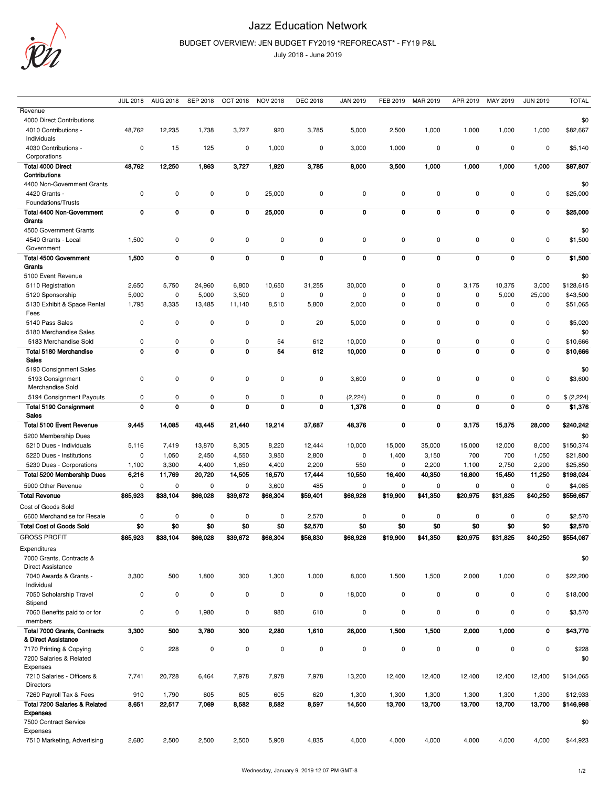

## Jazz Education Network

## BUDGET OVERVIEW: JEN BUDGET FY2019 \*REFORECAST\* - FY19 P&L

July 2018 - June 2019

|                                         | <b>JUL 2018</b> | AUG 2018    | SEP 2018     | <b>OCT 2018</b> | <b>NOV 2018</b> | <b>DEC 2018</b> | <b>JAN 2019</b>     | FEB 2019            | <b>MAR 2019</b> | APR 2019    | MAY 2019    | <b>JUN 2019</b> | <b>TOTAL</b> |
|-----------------------------------------|-----------------|-------------|--------------|-----------------|-----------------|-----------------|---------------------|---------------------|-----------------|-------------|-------------|-----------------|--------------|
| Revenue                                 |                 |             |              |                 |                 |                 |                     |                     |                 |             |             |                 |              |
| 4000 Direct Contributions               |                 |             |              |                 |                 |                 |                     |                     |                 |             |             |                 | \$0          |
| 4010 Contributions -                    | 48,762          | 12,235      | 1,738        | 3,727           | 920             | 3,785           | 5,000               | 2,500               | 1,000           | 1,000       | 1,000       | 1,000           | \$82,667     |
| Individuals                             |                 |             |              |                 |                 |                 |                     |                     |                 |             |             |                 |              |
| 4030 Contributions -                    | 0               | 15          | 125          | 0               | 1,000           | 0               | 3,000               | 1,000               | 0               | 0           | 0           | 0               | \$5,140      |
| Corporations                            |                 |             |              |                 |                 |                 |                     |                     |                 |             |             |                 |              |
| <b>Total 4000 Direct</b>                | 48,762          | 12,250      | 1,863        | 3,727           | 1,920           | 3,785           | 8,000               | 3,500               | 1,000           | 1,000       | 1,000       | 1,000           | \$87,807     |
| Contributions                           |                 |             |              |                 |                 |                 |                     |                     |                 |             |             |                 |              |
| 4400 Non-Government Grants              |                 |             |              |                 |                 |                 |                     |                     |                 |             |             |                 | \$0          |
| 4420 Grants -                           | 0               | 0           | 0            | 0               | 25,000          | 0               | 0                   | 0                   | 0               | 0           | 0           | 0               | \$25,000     |
| Foundations/Trusts                      |                 |             |              |                 |                 |                 |                     |                     |                 |             |             |                 |              |
| <b>Total 4400 Non-Government</b>        | $\mathbf 0$     | 0           | $\mathbf 0$  | 0               | 25,000          | $\mathbf 0$     | $\mathbf 0$         | 0                   | 0               | $\mathbf 0$ | $\mathbf 0$ | 0               | \$25,000     |
| Grants                                  |                 |             |              |                 |                 |                 |                     |                     |                 |             |             |                 |              |
| 4500 Government Grants                  |                 |             |              |                 |                 |                 |                     |                     |                 |             |             |                 | \$0          |
| 4540 Grants - Local                     | 1,500           | 0           | $\mathsf{O}$ | 0               | 0               | 0               | 0                   | 0                   | 0               | 0           | 0           | 0               | \$1,500      |
| Government                              |                 |             |              |                 |                 |                 |                     |                     |                 |             |             |                 |              |
| <b>Total 4500 Government</b>            | 1,500           | $\mathbf 0$ | $\mathbf 0$  | 0               | $\pmb{0}$       | 0               | $\mathbf 0$         | $\mathbf 0$         | 0               | $\mathbf 0$ | $\mathbf 0$ | $\mathbf 0$     | \$1,500      |
| Grants                                  |                 |             |              |                 |                 |                 |                     |                     |                 |             |             |                 |              |
| 5100 Event Revenue                      |                 |             |              |                 |                 |                 |                     |                     |                 |             |             |                 | \$0          |
| 5110 Registration                       | 2,650           | 5,750       | 24,960       | 6,800           | 10,650          | 31,255          | 30,000              | 0                   | 0               | 3,175       | 10,375      | 3,000           | \$128,615    |
| 5120 Sponsorship                        | 5,000           | 0           | 5,000        | 3,500           | 0               | 0               | 0                   | 0                   | 0               | 0           | 5,000       | 25,000          | \$43,500     |
| 5130 Exhibit & Space Rental             | 1,795           | 8,335       | 13,485       | 11,140          | 8,510           | 5,800           | 2,000               | 0                   | 0               | 0           | 0           | 0               | \$51,065     |
| Fees                                    |                 |             |              |                 |                 |                 |                     |                     |                 |             |             |                 |              |
| 5140 Pass Sales                         | 0               | 0           | 0            | 0               | 0               | 20              | 5,000               | 0                   | 0               | 0           | 0           | 0               | \$5,020      |
| 5180 Merchandise Sales                  |                 |             |              |                 |                 |                 |                     |                     |                 |             |             |                 | \$0          |
| 5183 Merchandise Sold                   | 0               | 0           | 0            | 0               | 54              | 612             | 10,000              | 0                   | 0               | 0           | 0           | 0               | \$10,666     |
| Total 5180 Merchandise                  | 0               | $\mathbf 0$ | $\mathbf 0$  | $\mathbf 0$     | 54              | 612             | 10,000              | 0                   | 0               | $\mathbf 0$ | $\mathbf 0$ | 0               | \$10,666     |
| <b>Sales</b>                            |                 |             |              |                 |                 |                 |                     |                     |                 |             |             |                 |              |
| 5190 Consignment Sales                  |                 |             |              |                 |                 |                 |                     |                     |                 |             |             |                 | \$0          |
| 5193 Consignment                        | 0               | 0           | 0            | 0               | 0               | 0               | 3,600               | 0                   | 0               | 0           | 0           | 0               | \$3,600      |
| Merchandise Sold                        |                 |             |              |                 |                 |                 |                     |                     |                 |             |             |                 |              |
| 5194 Consignment Payouts                | 0               | 0           | $\pmb{0}$    | 0               | 0               | 0               | (2, 224)            | 0                   | 0               | 0           | 0           | 0               | \$ (2,224)   |
| <b>Total 5190 Consignment</b>           | $\mathbf 0$     | 0           | $\mathbf 0$  | 0               | 0               | 0               | 1,376               | 0                   | 0               | 0           | $\mathbf 0$ | $\mathbf 0$     | \$1,376      |
| <b>Sales</b>                            |                 |             |              |                 |                 |                 |                     |                     |                 |             |             |                 |              |
| <b>Total 5100 Event Revenue</b>         | 9,445           | 14,085      | 43,445       | 21,440          | 19,214          | 37,687          | 48,376              | 0                   | $\mathbf 0$     | 3,175       | 15,375      | 28,000          | \$240,242    |
| 5200 Membership Dues                    |                 |             |              |                 |                 |                 |                     |                     |                 |             |             |                 | \$0          |
| 5210 Dues - Individuals                 | 5,116           | 7,419       | 13,870       | 8,305           | 8,220           | 12,444          | 10,000              | 15,000              | 35,000          | 15,000      | 12,000      | 8,000           | \$150,374    |
| 5220 Dues - Institutions                | 0               | 1,050       | 2,450        | 4,550           | 3,950           | 2,800           | 0                   | 1,400               | 3,150           | 700         | 700         | 1,050           | \$21,800     |
| 5230 Dues - Corporations                | 1,100           | 3,300       | 4,400        | 1,650           | 4,400           | 2,200           | 550                 | 0                   | 2,200           | 1,100       | 2,750       | 2,200           | \$25,850     |
| Total 5200 Membership Dues              | 6,216           | 11,769      | 20,720       | 14,505          | 16,570          | 17,444          | 10,550              | 16,400              | 40,350          | 16,800      | 15,450      | 11,250          | \$198,024    |
| 5900 Other Revenue                      | 0               | 0           | $\pmb{0}$    | 0               | 3,600           | 485             | 0                   | $\mathsf{O}\xspace$ | 0               | 0           | 0           | 0               | \$4,085      |
| <b>Total Revenue</b>                    | \$65,923        | \$38,104    | \$66,028     | \$39,672        | \$66,304        | \$59,401        | \$66,926            | \$19,900            | \$41,350        | \$20,975    | \$31,825    | \$40,250        | \$556,657    |
| Cost of Goods Sold                      |                 |             |              |                 |                 |                 |                     |                     |                 |             |             |                 |              |
| 6600 Merchandise for Resale             | 0               | 0           | 0            | 0               | $\mathbf 0$     | 2,570           | 0                   | 0                   | 0               | 0           | 0           | 0               | \$2,570      |
| <b>Total Cost of Goods Sold</b>         | \$0             | \$0         | \$0          | \$0             | \$0             | \$2,570         | \$0                 | \$0                 | \$0             | \$0         | \$0         | \$0             | \$2,570      |
|                                         |                 |             |              |                 |                 |                 |                     |                     |                 |             |             |                 |              |
| <b>GROSS PROFIT</b>                     | \$65,923        | \$38,104    | \$66,028     | \$39,672        | \$66,304        | \$56,830        | \$66,926            | \$19,900            | \$41,350        | \$20,975    | \$31,825    | \$40,250        | \$554,087    |
| Expenditures                            |                 |             |              |                 |                 |                 |                     |                     |                 |             |             |                 |              |
| 7000 Grants, Contracts &                |                 |             |              |                 |                 |                 |                     |                     |                 |             |             |                 | \$0          |
| <b>Direct Assistance</b>                |                 |             |              |                 |                 |                 |                     |                     |                 |             |             |                 |              |
| 7040 Awards & Grants -                  | 3,300           | 500         | 1,800        | 300             | 1,300           | 1,000           | 8,000               | 1,500               | 1,500           | 2,000       | 1,000       | 0               | \$22,200     |
| Individual                              |                 |             |              |                 |                 |                 |                     |                     |                 |             |             |                 |              |
| 7050 Scholarship Travel                 | 0               | 0           | 0            | 0               | 0               | $\mathbf 0$     | 18,000              | 0                   | 0               | 0           | 0           | 0               | \$18,000     |
| Stipend<br>7060 Benefits paid to or for | 0               | 0           | 1,980        | 0               | 980             | 610             | $\mathsf{O}\xspace$ | 0                   | 0               | 0           | 0           | 0               |              |
|                                         |                 |             |              |                 |                 |                 |                     |                     |                 |             |             |                 | \$3,570      |

members

| Total 7000 Grants, Contracts  | 3,300 | 500    | 3,780 | 300   | 2,280 | 1,610 | 26,000 | 1,500  | 500, ا | 2,000  | 1,000  | 0      | \$43,770  |
|-------------------------------|-------|--------|-------|-------|-------|-------|--------|--------|--------|--------|--------|--------|-----------|
| & Direct Assistance           |       |        |       |       |       |       |        |        |        |        |        |        |           |
| 7170 Printing & Copying       | 0     | 228    | 0     | 0     | 0     | 0     | 0      | 0      | 0      | 0      | 0      | 0      | \$228     |
| 7200 Salaries & Related       |       |        |       |       |       |       |        |        |        |        |        |        | \$0       |
| Expenses                      |       |        |       |       |       |       |        |        |        |        |        |        |           |
| 7210 Salaries - Officers &    | 7,741 | 20,728 | 6,464 | 7,978 | 7,978 | 7,978 | 13,200 | 12,400 | 12,400 | 12,400 | 12,400 | 12,400 | \$134,065 |
| <b>Directors</b>              |       |        |       |       |       |       |        |        |        |        |        |        |           |
| 7260 Payroll Tax & Fees       | 910   | ,790   | 605   | 605   | 605   | 620   | 1,300  | 1,300  | 1,300  | 1,300  | 1,300  | ,300   | \$12,933  |
| Total 7200 Salaries & Related | 8,651 | 22,517 | 7,069 | 8,582 | 8,582 | 8,597 | 14,500 | 13,700 | 13,700 | 13,700 | 13,700 | 13,700 | \$146,998 |
| Expenses                      |       |        |       |       |       |       |        |        |        |        |        |        |           |
| 7500 Contract Service         |       |        |       |       |       |       |        |        |        |        |        |        | \$0       |
| Expenses                      |       |        |       |       |       |       |        |        |        |        |        |        |           |
| 7510 Marketing, Advertising   | 2,680 | 2,500  | 2,500 | 2,500 | 5,908 | 4,835 | 4,000  | 4,000  | 4,000  | 4,000  | 4,000  | 4,000  | \$44,923  |